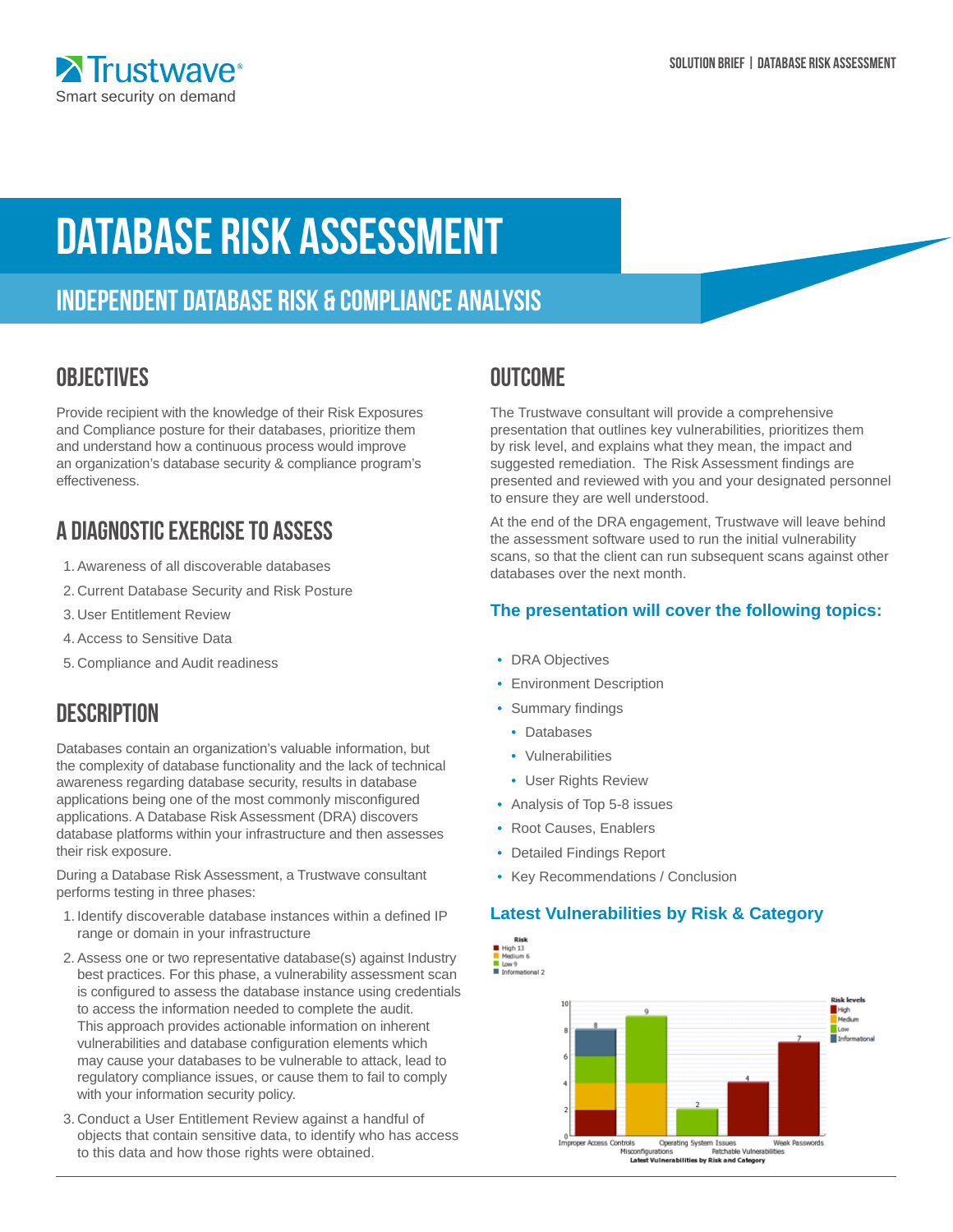# Database Risk Assessment

# Independent database risk & compliance analysis

### **OBJECTIVES**

Provide recipient with the knowledge of their Risk Exposures and Compliance posture for their databases, prioritize them and understand how a continuous process would improve an organization's database security & compliance program's effectiveness.

# A Diagnostic Exercise to Assess

- 1.Awareness of all discoverable databases
- 2. Current Database Security and Risk Posture
- 3. User Entitlement Review
- 4.Access to Sensitive Data
- 5. Compliance and Audit readiness

### **DESCRIPTION**

Databases contain an organization's valuable information, but the complexity of database functionality and the lack of technical awareness regarding database security, results in database applications being one of the most commonly misconfigured applications. A Database Risk Assessment (DRA) discovers database platforms within your infrastructure and then assesses their risk exposure.

During a Database Risk Assessment, a Trustwave consultant performs testing in three phases:

- 1. Identify discoverable database instances within a defined IP range or domain in your infrastructure
- 2. Assess one or two representative database(s) against Industry best practices. For this phase, a vulnerability assessment scan is configured to assess the database instance using credentials to access the information needed to complete the audit. This approach provides actionable information on inherent vulnerabilities and database configuration elements which may cause your databases to be vulnerable to attack, lead to regulatory compliance issues, or cause them to fail to comply with your information security policy.
- 3. Conduct a User Entitlement Review against a handful of objects that contain sensitive data, to identify who has access to this data and how those rights were obtained.

### **OUTCOME**

The Trustwave consultant will provide a comprehensive presentation that outlines key vulnerabilities, prioritizes them by risk level, and explains what they mean, the impact and suggested remediation. The Risk Assessment findings are presented and reviewed with you and your designated personnel to ensure they are well understood.

At the end of the DRA engagement, Trustwave will leave behind the assessment software used to run the initial vulnerability scans, so that the client can run subsequent scans against other databases over the next month.

#### **The presentation will cover the following topics:**

- DRA Objectives
- Environment Description
- Summary findings
	- Databases
	- Vulnerabilities
	- User Rights Review
- Analysis of Top 5-8 issues
- Root Causes, Enablers
- Detailed Findings Report
- Key Recommendations / Conclusion

#### **Latest Vulnerabilities by Risk & Category**